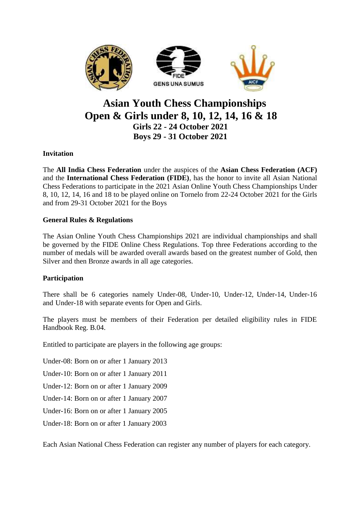

# **Asian Youth Chess Championships Open & Girls under 8, 10, 12, 14, 16 & 18 Girls 22 - 24 October 2021 Boys 29 - 31 October 2021**

# **Invitation**

The **All India Chess Federation** under the auspices of the **Asian Chess Federation (ACF)**  and the **International Chess Federation (FIDE)**, has the honor to invite all Asian National Chess Federations to participate in the 2021 Asian Online Youth Chess Championships Under 8, 10, 12, 14, 16 and 18 to be played online on Tornelo from 22-24 October 2021 for the Girls and from 29-31 October 2021 for the Boys

# **General Rules & Regulations**

The Asian Online Youth Chess Championships 2021 are individual championships and shall be governed by the FIDE Online Chess Regulations. Top three Federations according to the number of medals will be awarded overall awards based on the greatest number of Gold, then Silver and then Bronze awards in all age categories.

# **Participation**

There shall be 6 categories namely Under-08, Under-10, Under-12, Under-14, Under-16 and Under-18 with separate events for Open and Girls.

The players must be members of their Federation per detailed eligibility rules in FIDE Handbook Reg. B.04.

Entitled to participate are players in the following age groups:

Under-08: Born on or after 1 January 2013

Under-10: Born on or after 1 January 2011

Under-12: Born on or after 1 January 2009

Under-14: Born on or after 1 January 2007

Under-16: Born on or after 1 January 2005

Under-18: Born on or after 1 January 2003

Each Asian National Chess Federation can register any number of players for each category.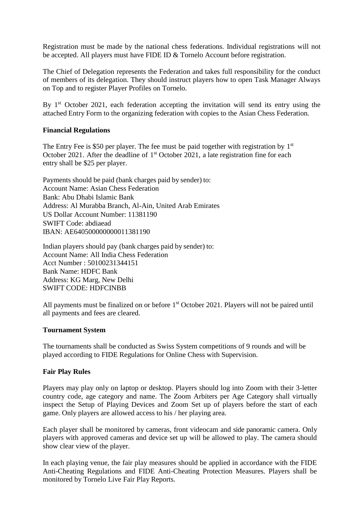Registration must be made by the national chess federations. Individual registrations will not be accepted. All players must have FIDE ID & Tornelo Account before registration.

The Chief of Delegation represents the Federation and takes full responsibility for the conduct of members of its delegation. They should instruct players how to open Task Manager Always on Top and to register Player Profiles on Tornelo.

By 1<sup>st</sup> October 2021, each federation accepting the invitation will send its entry using the attached Entry Form to the organizing federation with copies to the Asian Chess Federation.

#### **Financial Regulations**

The Entry Fee is \$50 per player. The fee must be paid together with registration by  $1<sup>st</sup>$ October 2021. After the deadline of  $1<sup>st</sup>$  October 2021, a late registration fine for each entry shall be \$25 per player.

Payments should be paid (bank charges paid by sender) to: Account Name: Asian Chess Federation Bank: Abu Dhabi Islamic Bank Address: Al Murabba Branch, Al-Ain, United Arab Emirates US Dollar Account Number: 11381190 SWIFT Code: abdiaead IBAN: AE640500000000011381190

Indian players should pay (bank charges paid by sender) to: Account Name: All India Chess Federation Acct Number : 50100231344151 Bank Name: HDFC Bank Address: KG Marg, New Delhi SWIFT CODE: HDFCINBB

All payments must be finalized on or before 1<sup>st</sup> October 2021. Players will not be paired until all payments and fees are cleared.

#### **Tournament System**

The tournaments shall be conducted as Swiss System competitions of 9 rounds and will be played according to FIDE Regulations for Online Chess with Supervision.

#### **Fair Play Rules**

Players may play only on laptop or desktop. Players should log into Zoom with their 3-letter country code, age category and name. The Zoom Arbiters per Age Category shall virtually inspect the Setup of Playing Devices and Zoom Set up of players before the start of each game. Only players are allowed access to his / her playing area.

Each player shall be monitored by cameras, front videocam and side panoramic camera. Only players with approved cameras and device set up will be allowed to play. The camera should show clear view of the player.

In each playing venue, the fair play measures should be applied in accordance with the FIDE Anti-Cheating Regulations and FIDE Anti-Cheating Protection Measures. Players shall be monitored by Tornelo Live Fair Play Reports.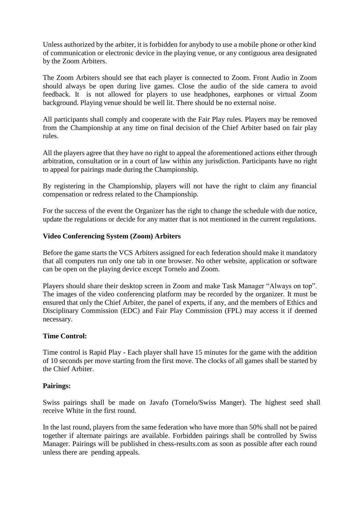Unless authorized by the arbiter, it is forbidden for anybody to use a mobile phone or other kind of communication or electronic device in the playing venue, or any contiguous area designated by the Zoom Arbiters.

The Zoom Arbiters should see that each player is connected to Zoom. Front Audio in Zoom should always be open during live games. Close the audio of the side camera to avoid feedback. It is not allowed for players to use headphones, earphones or virtual Zoom background. Playing venue should be well lit. There should be no external noise.

All participants shall comply and cooperate with the Fair Play rules. Players may be removed from the Championship at any time on final decision of the Chief Arbiter based on fair play rules.

All the players agree that they have no right to appeal the aforementioned actions either through arbitration, consultation or in a court of law within any jurisdiction. Participants have no right to appeal for pairings made during the Championship.

By registering in the Championship, players will not have the right to claim any financial compensation or redress related to the Championship.

For the success of the event the Organizer has the right to change the schedule with due notice, update the regulations or decide for any matter that is not mentioned in the current regulations.

## **Video Conferencing System (Zoom) Arbiters**

Before the game starts the VCS Arbiters assigned for each federation should make it mandatory that all computers run only one tab in one browser. No other website, application or software can be open on the playing device except Tornelo and Zoom.

Players should share their desktop screen in Zoom and make Task Manager "Always on top". The images of the video conferencing platform may be recorded by the organizer. It must be ensured that only the Chief Arbiter, the panel of experts, if any, and the members of Ethics and Disciplinary Commission (EDC) and Fair Play Commission (FPL) may access it if deemed necessary.

#### **Time Control:**

Time control is Rapid Play - Each player shall have 15 minutes for the game with the addition of 10 seconds per move starting from the first move. The clocks of all games shall be started by the Chief Arbiter.

#### **Pairings:**

Swiss pairings shall be made on Javafo (Tornelo/Swiss Manger). The highest seed shall receive White in the first round.

In the last round, players from the same federation who have more than 50% shall not be paired together if alternate pairings are available. Forbidden pairings shall be controlled by Swiss Manager. Pairings will be published in chess-results.com as soon as possible after each round unless there are pending appeals.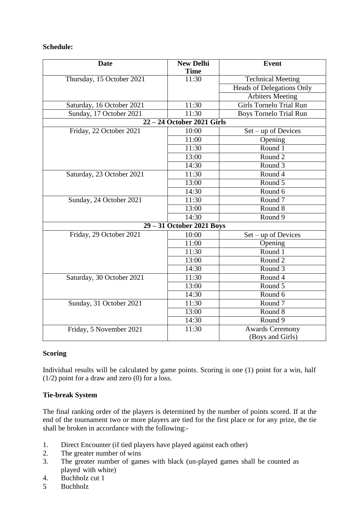# **Schedule:**

| <b>Date</b>                | <b>New Delhi</b><br><b>Time</b> | <b>Event</b>                        |
|----------------------------|---------------------------------|-------------------------------------|
| Thursday, 15 October 2021  | 11:30                           | <b>Technical Meeting</b>            |
|                            |                                 | <b>Heads of Delegations Only</b>    |
|                            |                                 | <b>Arbiters Meeting</b>             |
| Saturday, 16 October 2021  | 11:30                           | <b>Girls Tornelo Trial Run</b>      |
| Sunday, 17 October 2021    | 11:30                           | <b>Boys Tornelo Trial Run</b>       |
| 22 - 24 October 2021 Girls |                                 |                                     |
| Friday, 22 October 2021    | 10:00                           | $Set - up$ of Devices               |
|                            | 11:00                           | Opening                             |
|                            | 11:30                           | Round 1                             |
|                            | 13:00                           | Round 2                             |
|                            | 14:30                           | Round 3                             |
| Saturday, 23 October 2021  | 11:30                           | Round 4                             |
|                            | 13:00                           | Round 5                             |
|                            | 14:30                           | Round 6                             |
| Sunday, 24 October 2021    | 11:30                           | Round <sub>7</sub>                  |
|                            | 13:00                           | Round 8                             |
|                            | 14:30                           | Round 9                             |
| 29 - 31 October 2021 Boys  |                                 |                                     |
| Friday, 29 October 2021    | 10:00                           | Set - up of Devices                 |
|                            | 11:00                           | Opening                             |
|                            | 11:30                           | Round 1                             |
|                            | 13:00                           | Round <sub>2</sub>                  |
|                            | 14:30                           | Round <sub>3</sub>                  |
| Saturday, 30 October 2021  | 11:30                           | Round 4                             |
|                            | 13:00                           | Round 5                             |
|                            | 14:30                           | Round 6                             |
| Sunday, 31 October 2021    | $11:\overline{30}$              | Round <sub>7</sub>                  |
|                            | 13:00                           | Round 8                             |
|                            | 14:30                           | Round 9                             |
| Friday, 5 November 2021    | 11:30                           | Awards Ceremony<br>(Boys and Girls) |

# **Scoring**

Individual results will be calculated by game points. Scoring is one (1) point for a win, half (1/2) point for a draw and zero (0) for a loss.

# **Tie-break System**

The final ranking order of the players is determined by the number of points scored. If at the end of the tournament two or more players are tied for the first place or for any prize, the tie shall be broken in accordance with the following:-

- 1. Direct Encounter (if tied players have played against each other)
- 2. The greater number of wins
- 3. The greater number of games with black (un-played games shall be counted as played with white)
- 4. Buchholz cut 1
- 5. Buchholz